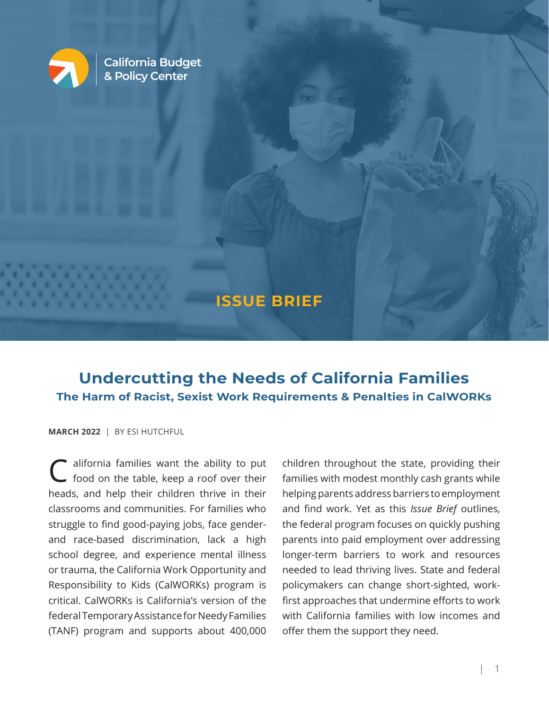

**California Budget & Policy Center**

## **ISSUE BRIEF**

# **Undercutting the Needs of California Families The Harm of Racist, Sexist Work Requirements & Penalties in CalWORKs**

#### **MARCH 2022** | BY ESI HUTCHFUL

*<u>......</u>* . . . . . . . . . . . . . . . . . . . . . . . . .

C alifornia families want the ability to put food on the table, keep a roof over their heads, and help their children thrive in their classrooms and communities. For families who struggle to find good-paying jobs, face genderand race-based discrimination, lack a high school degree, and experience mental illness or trauma, the California Work Opportunity and Responsibility to Kids (CalWORKs) program is critical. CalWORKs is California's version of the federal Temporary Assistance for Needy Families (TANF) program and supports about 400,000

children throughout the state, providing their families with modest monthly cash grants while helping parents address barriers to employment and find work. Yet as this *Issue Brief* outlines, the federal program focuses on quickly pushing parents into paid employment over addressing longer-term barriers to work and resources needed to lead thriving lives. State and federal policymakers can change short-sighted, workfirst approaches that undermine efforts to work with California families with low incomes and offer them the support they need.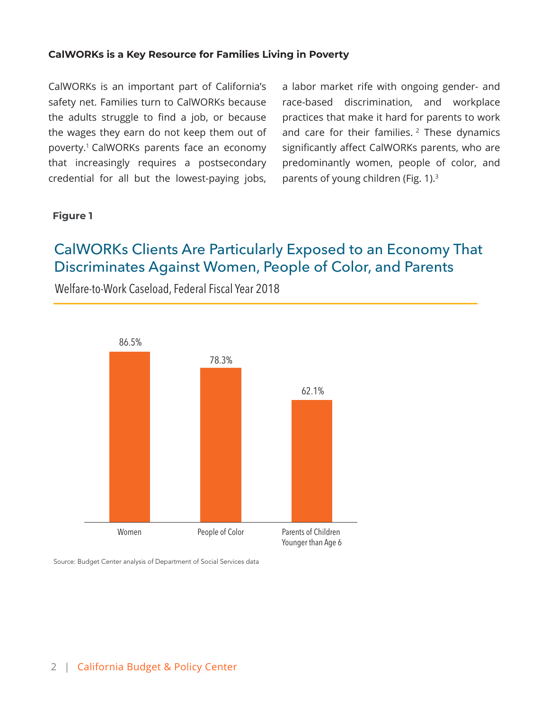#### **CalWORKs is a Key Resource for Families Living in Poverty**

CalWORKs is an important part of California's safety net. Families turn to CalWORKs because the adults struggle to find a job, or because the wages they earn do not keep them out of poverty.<sup>1</sup> CalWORKs parents face an economy that increasingly requires a postsecondary credential for all but the lowest-paying jobs, a labor market rife with ongoing gender- and race-based discrimination, and workplace practices that make it hard for parents to work and care for their families.<sup>2</sup> These dynamics significantly affect CalWORKs parents, who are predominantly women, people of color, and parents of young children (Fig. 1).3

#### **Figure 1**

# CalWORKs Clients Are Particularly Exposed to an Economy That Discriminates Against Women, People of Color, and Parents

Welfare-to-Work Caseload, Federal Fiscal Year 2018



Source: Budget Center analysis of Department of Social Services data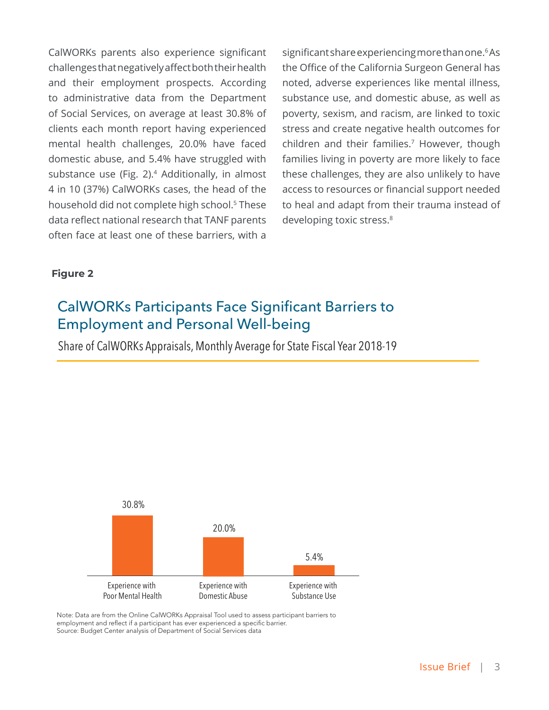CalWORKs parents also experience significant challenges that negatively affect both their health and their employment prospects. According to administrative data from the Department of Social Services, on average at least 30.8% of clients each month report having experienced mental health challenges, 20.0% have faced domestic abuse, and 5.4% have struggled with substance use (Fig. 2).<sup>4</sup> Additionally, in almost 4 in 10 (37%) CalWORKs cases, the head of the household did not complete high school.<sup>5</sup> These data reflect national research that TANF parents often face at least one of these barriers, with a

significant share experiencing more than one.<sup>6</sup> As the Office of the California Surgeon General has noted, adverse experiences like mental illness, substance use, and domestic abuse, as well as poverty, sexism, and racism, are linked to toxic stress and create negative health outcomes for children and their families.7 However, though families living in poverty are more likely to face these challenges, they are also unlikely to have access to resources or financial support needed to heal and adapt from their trauma instead of developing toxic stress.<sup>8</sup>

#### **Figure 2**

# CalWORKs Participants Face Significant Barriers to Employment and Personal Well-being

Share of CalWORKs Appraisals, Monthly Average for State Fiscal Year 2018-19



Note: Data are from the Online CalWORKs Appraisal Tool used to assess participant barriers to employment and reflect if a participant has ever experienced a specific barrier. Source: Budget Center analysis of Department of Social Services data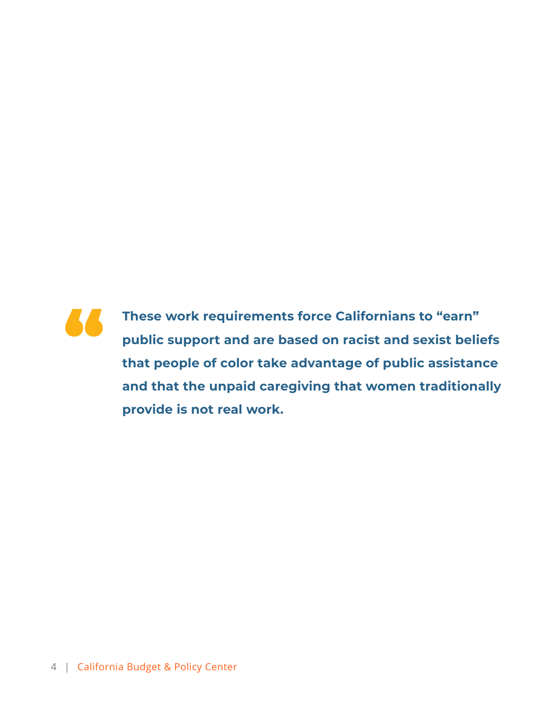

**These work requirements force Californians to "earn" public support and are based on racist and sexist beliefs that people of color take advantage of public assistance and that the unpaid caregiving that women traditionally provide is not real work.**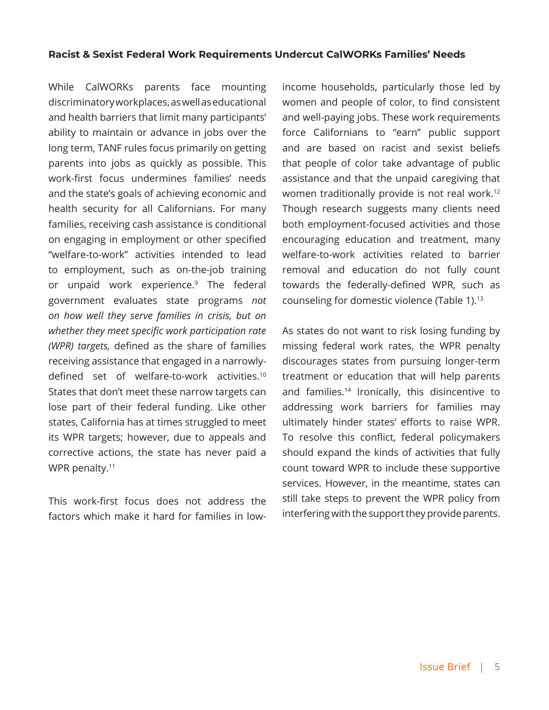#### **Racist & Sexist Federal Work Requirements Undercut CalWORKs Families' Needs**

While CalWORKs parents face mounting discriminatory workplaces, as well as educational and health barriers that limit many participants' ability to maintain or advance in jobs over the long term, TANF rules focus primarily on getting parents into jobs as quickly as possible. This work-first focus undermines families' needs and the state's goals of achieving economic and health security for all Californians. For many families, receiving cash assistance is conditional on engaging in employment or other specified "welfare-to-work" activities intended to lead to employment, such as on-the-job training or unpaid work experience.<sup>9</sup> The federal government evaluates state programs *not on how well they serve families in crisis, but on whether they meet specific work participation rate (WPR) targets,* defined as the share of families receiving assistance that engaged in a narrowlydefined set of welfare-to-work activities.<sup>10</sup> States that don't meet these narrow targets can lose part of their federal funding. Like other states, California has at times struggled to meet its WPR targets; however, due to appeals and corrective actions, the state has never paid a WPR penalty.<sup>11</sup>

This work-first focus does not address the factors which make it hard for families in lowincome households, particularly those led by women and people of color, to find consistent and well-paying jobs. These work requirements force Californians to "earn" public support and are based on racist and sexist beliefs that people of color take advantage of public assistance and that the unpaid caregiving that women traditionally provide is not real work.12 Though research suggests many clients need both employment-focused activities and those encouraging education and treatment, many welfare-to-work activities related to barrier removal and education do not fully count towards the federally-defined WPR, such as counseling for domestic violence (Table 1).13

As states do not want to risk losing funding by missing federal work rates, the WPR penalty discourages states from pursuing longer-term treatment or education that will help parents and families.14 Ironically, this disincentive to addressing work barriers for families may ultimately hinder states' efforts to raise WPR. To resolve this conflict, federal policymakers should expand the kinds of activities that fully count toward WPR to include these supportive services. However, in the meantime, states can still take steps to prevent the WPR policy from interfering with the support they provide parents.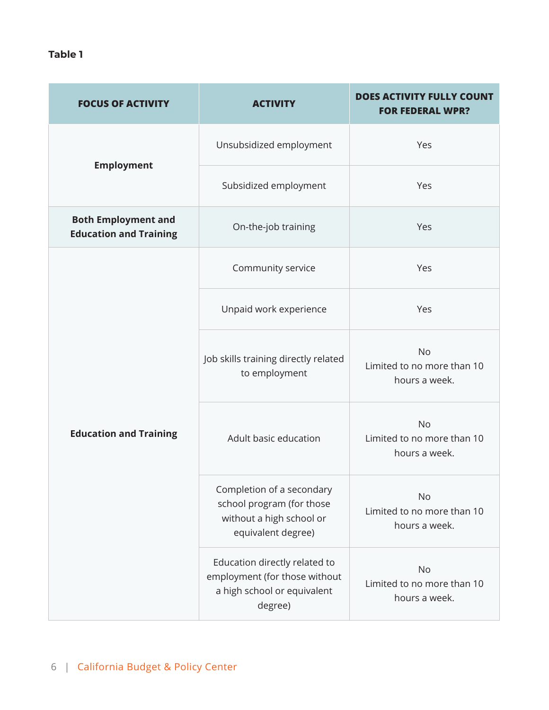**Table 1**

| <b>FOCUS OF ACTIVITY</b>                                    | <b>ACTIVITY</b>                                                                                          | <b>DOES ACTIVITY FULLY COUNT</b><br><b>FOR FEDERAL WPR?</b> |
|-------------------------------------------------------------|----------------------------------------------------------------------------------------------------------|-------------------------------------------------------------|
|                                                             | Unsubsidized employment                                                                                  | Yes                                                         |
| <b>Employment</b>                                           | Subsidized employment                                                                                    | Yes                                                         |
| <b>Both Employment and</b><br><b>Education and Training</b> | On-the-job training                                                                                      | Yes                                                         |
| <b>Education and Training</b>                               | Community service                                                                                        | Yes                                                         |
|                                                             | Unpaid work experience                                                                                   | Yes                                                         |
|                                                             | Job skills training directly related<br>to employment                                                    | <b>No</b><br>Limited to no more than 10<br>hours a week.    |
|                                                             | Adult basic education                                                                                    | <b>No</b><br>Limited to no more than 10<br>hours a week.    |
|                                                             | Completion of a secondary<br>school program (for those<br>without a high school or<br>equivalent degree) | No<br>Limited to no more than 10<br>hours a week.           |
|                                                             | Education directly related to<br>employment (for those without<br>a high school or equivalent<br>degree) | <b>No</b><br>Limited to no more than 10<br>hours a week.    |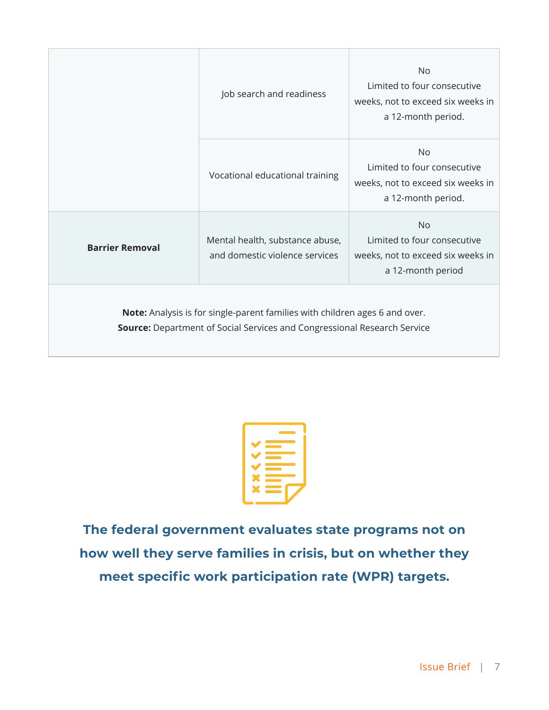|                                                                                                                                                                | Job search and readiness                                          | No<br>Limited to four consecutive<br>weeks, not to exceed six weeks in<br>a 12-month period.        |
|----------------------------------------------------------------------------------------------------------------------------------------------------------------|-------------------------------------------------------------------|-----------------------------------------------------------------------------------------------------|
|                                                                                                                                                                | Vocational educational training                                   | <b>No</b><br>Limited to four consecutive<br>weeks, not to exceed six weeks in<br>a 12-month period. |
| <b>Barrier Removal</b>                                                                                                                                         | Mental health, substance abuse,<br>and domestic violence services | <b>No</b><br>Limited to four consecutive<br>weeks, not to exceed six weeks in<br>a 12-month period  |
| Note: Analysis is for single-parent families with children ages 6 and over.<br><b>Source:</b> Department of Social Services and Congressional Research Service |                                                                   |                                                                                                     |

**The federal government evaluates state programs not on how well they serve families in crisis, but on whether they meet specific work participation rate (WPR) targets.**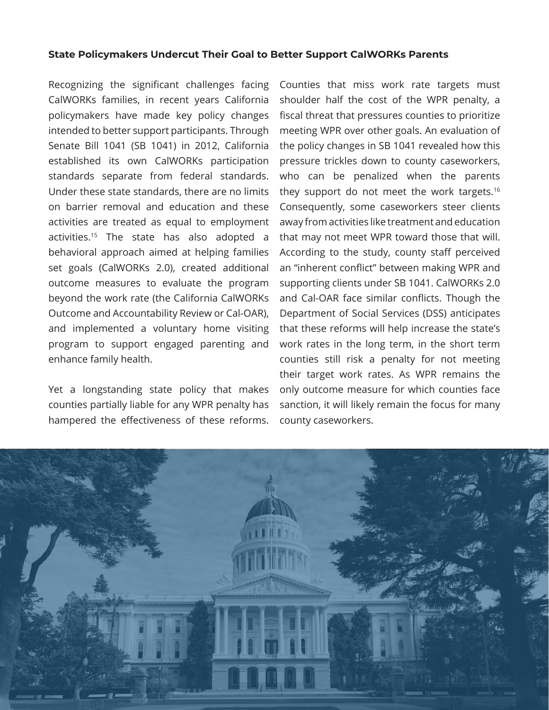#### **State Policymakers Undercut Their Goal to Better Support CalWORKs Parents**

Recognizing the significant challenges facing CalWORKs families, in recent years California policymakers have made key policy changes intended to better support participants. Through Senate Bill 1041 (SB 1041) in 2012, California established its own CalWORKs participation standards separate from federal standards. Under these state standards, there are no limits on barrier removal and education and these activities are treated as equal to employment activities.15 The state has also adopted a behavioral approach aimed at helping families set goals (CalWORKs 2.0), created additional outcome measures to evaluate the program beyond the work rate (the California CalWORKs Outcome and Accountability Review or Cal-OAR), and implemented a voluntary home visiting program to support engaged parenting and enhance family health.

Yet a longstanding state policy that makes counties partially liable for any WPR penalty has hampered the effectiveness of these reforms.

Counties that miss work rate targets must shoulder half the cost of the WPR penalty, a fiscal threat that pressures counties to prioritize meeting WPR over other goals. An evaluation of the policy changes in SB 1041 revealed how this pressure trickles down to county caseworkers, who can be penalized when the parents they support do not meet the work targets.<sup>16</sup> Consequently, some caseworkers steer clients away from activities like treatment and education that may not meet WPR toward those that will. According to the study, county staff perceived an "inherent conflict" between making WPR and supporting clients under SB 1041. CalWORKs 2.0 and Cal-OAR face similar conflicts. Though the Department of Social Services (DSS) anticipates that these reforms will help increase the state's work rates in the long term, in the short term counties still risk a penalty for not meeting their target work rates. As WPR remains the only outcome measure for which counties face sanction, it will likely remain the focus for many county caseworkers.

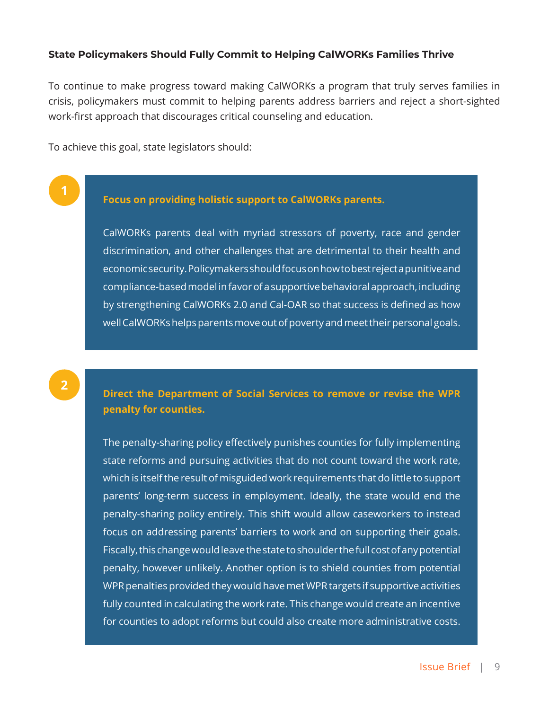#### **State Policymakers Should Fully Commit to Helping CalWORKs Families Thrive**

To continue to make progress toward making CalWORKs a program that truly serves families in crisis, policymakers must commit to helping parents address barriers and reject a short-sighted work-first approach that discourages critical counseling and education.

To achieve this goal, state legislators should:

## **Focus on providing holistic support to CalWORKs parents.**

CalWORKs parents deal with myriad stressors of poverty, race and gender discrimination, and other challenges that are detrimental to their health and economic security. Policymakers should focus on how to best reject a punitive and compliance-based model in favor of a supportive behavioral approach, including by strengthening CalWORKs 2.0 and Cal-OAR so that success is defined as how well CalWORKs helps parents move out of poverty and meet their personal goals.

## **Direct the Department of Social Services to remove or revise the WPR penalty for counties.**

The penalty-sharing policy effectively punishes counties for fully implementing state reforms and pursuing activities that do not count toward the work rate, which is itself the result of misguided work requirements that do little to support parents' long-term success in employment. Ideally, the state would end the penalty-sharing policy entirely. This shift would allow caseworkers to instead focus on addressing parents' barriers to work and on supporting their goals. Fiscally, this change would leave the state to shoulder the full cost of any potential penalty, however unlikely. Another option is to shield counties from potential WPR penalties provided they would have met WPR targets if supportive activities fully counted in calculating the work rate. This change would create an incentive for counties to adopt reforms but could also create more administrative costs.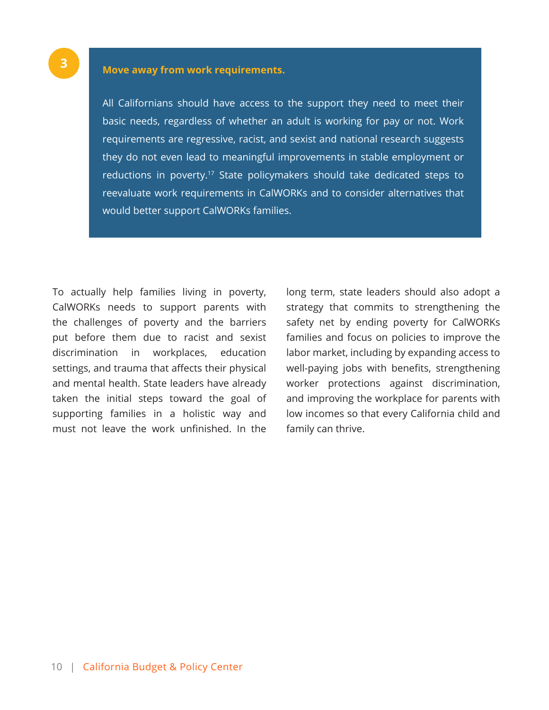### **Move away from work requirements.**

All Californians should have access to the support they need to meet their basic needs, regardless of whether an adult is working for pay or not. Work requirements are regressive, racist, and sexist and national research suggests they do not even lead to meaningful improvements in stable employment or reductions in poverty.<sup>17</sup> State policymakers should take dedicated steps to reevaluate work requirements in CalWORKs and to consider alternatives that would better support CalWORKs families.

To actually help families living in poverty, CalWORKs needs to support parents with the challenges of poverty and the barriers put before them due to racist and sexist discrimination in workplaces, education settings, and trauma that affects their physical and mental health. State leaders have already taken the initial steps toward the goal of supporting families in a holistic way and must not leave the work unfinished. In the

long term, state leaders should also adopt a strategy that commits to strengthening the safety net by ending poverty for CalWORKs families and focus on policies to improve the labor market, including by expanding access to well-paying jobs with benefits, strengthening worker protections against discrimination, and improving the workplace for parents with low incomes so that every California child and family can thrive.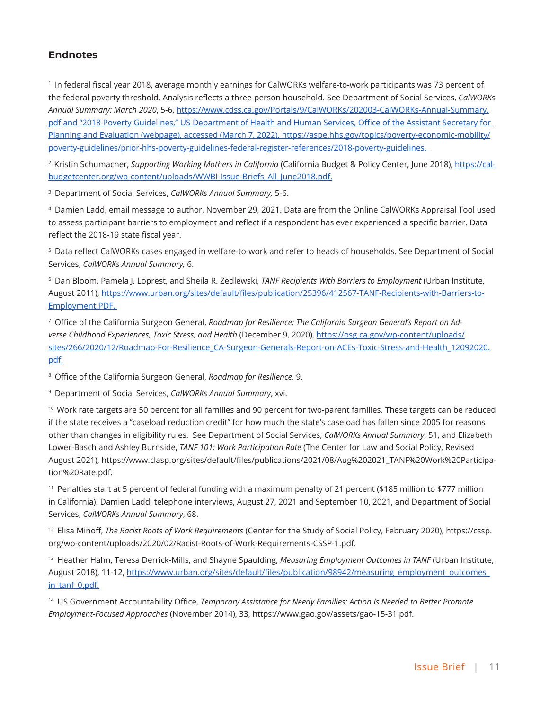#### **Endnotes**

<sup>1</sup>  In federal fiscal year 2018, average monthly earnings for CalWORKs welfare-to-work participants was 73 percent of the federal poverty threshold. Analysis reflects a three-person household. See Department of Social Services, *CalWORKs Annual Summary: March 2020*, 5-6, https://www.cdss.ca.gov/Portals/9/CalWORKs/202003-CalWORKs-Annual-Summary. pdf and "2018 Poverty Guidelines," US Department of Health and Human Services, Office of the Assistant Secretary for Planning and Evaluation (webpage), accessed (March 7, 2022), https://aspe.hhs.gov/topics/poverty-economic-mobility/ poverty-guidelines/prior-hhs-poverty-guidelines-federal-register-references/2018-poverty-guidelines.

2  Kristin Schumacher, *Supporting Working Mothers in California* (California Budget & Policy Center, June 2018), https://calbudgetcenter.org/wp-content/uploads/WWBI-Issue-Briefs\_All\_June2018.pdf.

<sup>3</sup>  Department of Social Services, *CalWORKs Annual Summary,* 5-6.

<sup>4</sup>  Damien Ladd, email message to author, November 29, 2021. Data are from the Online CalWORKs Appraisal Tool used to assess participant barriers to employment and reflect if a respondent has ever experienced a specific barrier. Data reflect the 2018-19 state fiscal year.

<sup>5</sup>  Data reflect CalWORKs cases engaged in welfare-to-work and refer to heads of households. See Department of Social Services, *CalWORKs Annual Summary,* 6.

<sup>6</sup>  Dan Bloom, Pamela J. Loprest, and Sheila R. Zedlewski, *TANF Recipients With Barriers to Employment* (Urban Institute, August 2011), https://www.urban.org/sites/default/files/publication/25396/412567-TANF-Recipients-with-Barriers-to-Employment.PDF.

7  Office of the California Surgeon General, *Roadmap for Resilience: The California Surgeon General's Report on Adverse Childhood Experiences, Toxic Stress, and Health* (December 9, 2020), https://osg.ca.gov/wp-content/uploads/ sites/266/2020/12/Roadmap-For-Resilience\_CA-Surgeon-Generals-Report-on-ACEs-Toxic-Stress-and-Health\_12092020. pdf.

<sup>8</sup>  Office of the California Surgeon General, *Roadmap for Resilience,* 9.

<sup>9</sup>  Department of Social Services, *CalWORKs Annual Summary*, xvi.

10  Work rate targets are 50 percent for all families and 90 percent for two-parent families. These targets can be reduced if the state receives a "caseload reduction credit" for how much the state's caseload has fallen since 2005 for reasons other than changes in eligibility rules. See Department of Social Services, *CalWORKs Annual Summary*, 51, and Elizabeth Lower-Basch and Ashley Burnside, *TANF 101: Work Participation Rate* (The Center for Law and Social Policy, Revised August 2021), https://www.clasp.org/sites/default/files/publications/2021/08/Aug%202021\_TANF%20Work%20Participation%20Rate.pdf.

<sup>11</sup>  Penalties start at 5 percent of federal funding with a maximum penalty of 21 percent (\$185 million to \$777 million in California). Damien Ladd, telephone interviews, August 27, 2021 and September 10, 2021, and Department of Social Services, *CalWORKs Annual Summary*, 68.

<sup>12</sup>  Elisa Minoff, *The Racist Roots of Work Requirements* (Center for the Study of Social Policy, February 2020), https://cssp. org/wp-content/uploads/2020/02/Racist-Roots-of-Work-Requirements-CSSP-1.pdf.

<sup>13</sup>  Heather Hahn, Teresa Derrick-Mills, and Shayne Spaulding, *Measuring Employment Outcomes in TANF* (Urban Institute, August 2018), 11-12, https://www.urban.org/sites/default/files/publication/98942/measuring\_employment\_outcomes\_ in\_tanf\_0.pdf.

<sup>14</sup>  US Government Accountability Office, *Temporary Assistance for Needy Families: Action Is Needed to Better Promote Employment-Focused Approaches* (November 2014), 33, https://www.gao.gov/assets/gao-15-31.pdf.